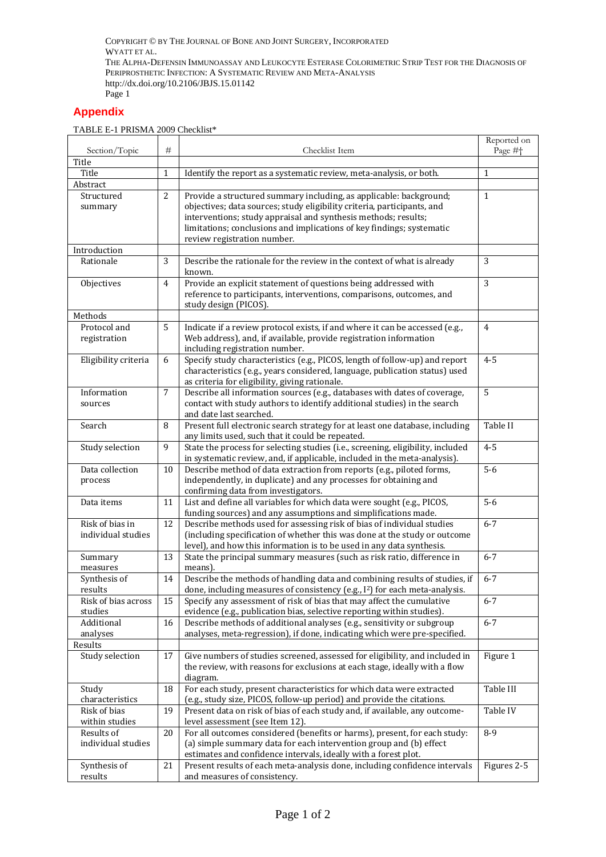COPYRIGHT © BY THE JOURNAL OF BONE AND JOINT SURGERY, INCORPORATED WYATT ET AL. THE ALPHA-DEFENSIN IMMUNOASSAY AND LEUKOCYTE ESTERASE COLORIMETRIC STRIP TEST FOR THE DIAGNOSIS OF PERIPROSTHETIC INFECTION: A SYSTEMATIC REVIEW AND META-ANALYSIS http://dx.doi.org/10.2106/JBJS.15.01142 Page 1

## **Appendix**

TABLE E-1 PRISMA 2009 Checklist\*

| Section/Topic                         | #              | Checklist Item                                                                                                                                                                                                                                                                                                          | Reported on<br>Page # <sup>+</sup> |
|---------------------------------------|----------------|-------------------------------------------------------------------------------------------------------------------------------------------------------------------------------------------------------------------------------------------------------------------------------------------------------------------------|------------------------------------|
| Title                                 |                |                                                                                                                                                                                                                                                                                                                         |                                    |
| Title                                 | 1              | Identify the report as a systematic review, meta-analysis, or both.                                                                                                                                                                                                                                                     | 1                                  |
| Abstract                              |                |                                                                                                                                                                                                                                                                                                                         |                                    |
| Structured<br>summary                 | 2              | Provide a structured summary including, as applicable: background;<br>objectives; data sources; study eligibility criteria, participants, and<br>interventions; study appraisal and synthesis methods; results;<br>limitations; conclusions and implications of key findings; systematic<br>review registration number. | $\mathbf{1}$                       |
| Introduction                          |                |                                                                                                                                                                                                                                                                                                                         |                                    |
| Rationale                             | 3              | Describe the rationale for the review in the context of what is already<br>known.                                                                                                                                                                                                                                       | 3                                  |
| Objectives                            | 4              | Provide an explicit statement of questions being addressed with<br>reference to participants, interventions, comparisons, outcomes, and<br>study design (PICOS).                                                                                                                                                        | 3                                  |
| Methods                               |                |                                                                                                                                                                                                                                                                                                                         |                                    |
| Protocol and<br>registration          | 5              | Indicate if a review protocol exists, if and where it can be accessed (e.g.,<br>Web address), and, if available, provide registration information<br>including registration number.                                                                                                                                     | 4                                  |
| Eligibility criteria                  | 6              | Specify study characteristics (e.g., PICOS, length of follow-up) and report<br>characteristics (e.g., years considered, language, publication status) used<br>as criteria for eligibility, giving rationale.                                                                                                            | $4 - 5$                            |
| Information                           | $\overline{7}$ | Describe all information sources (e.g., databases with dates of coverage,                                                                                                                                                                                                                                               | 5                                  |
| sources                               |                | contact with study authors to identify additional studies) in the search<br>and date last searched.                                                                                                                                                                                                                     |                                    |
| Search                                | 8              | Present full electronic search strategy for at least one database, including<br>any limits used, such that it could be repeated.                                                                                                                                                                                        | Table II                           |
| Study selection                       | 9              | State the process for selecting studies (i.e., screening, eligibility, included<br>in systematic review, and, if applicable, included in the meta-analysis).                                                                                                                                                            | $4 - 5$                            |
| Data collection<br>process            | 10             | Describe method of data extraction from reports (e.g., piloted forms,<br>independently, in duplicate) and any processes for obtaining and<br>confirming data from investigators.                                                                                                                                        | $5-6$                              |
| Data items                            | 11             | List and define all variables for which data were sought (e.g., PICOS,<br>funding sources) and any assumptions and simplifications made.                                                                                                                                                                                | $5-6$                              |
| Risk of bias in<br>individual studies | 12             | Describe methods used for assessing risk of bias of individual studies<br>(including specification of whether this was done at the study or outcome<br>level), and how this information is to be used in any data synthesis.                                                                                            | $6 - 7$                            |
| Summary<br>measures                   | 13             | State the principal summary measures (such as risk ratio, difference in<br>means).                                                                                                                                                                                                                                      | $6 - 7$                            |
| Synthesis of<br>results               | 14             | Describe the methods of handling data and combining results of studies, if<br>done, including measures of consistency (e.g., I <sup>2</sup> ) for each meta-analysis.                                                                                                                                                   | $6 - 7$                            |
| Risk of bias across                   | 15             | Specify any assessment of risk of bias that may affect the cumulative                                                                                                                                                                                                                                                   | $6 - 7$                            |
| studies<br>Additional                 | 16             | evidence (e.g., publication bias, selective reporting within studies).<br>Describe methods of additional analyses (e.g., sensitivity or subgroup                                                                                                                                                                        | $6 - 7$                            |
| analyses                              |                | analyses, meta-regression), if done, indicating which were pre-specified.                                                                                                                                                                                                                                               |                                    |
| Results                               |                |                                                                                                                                                                                                                                                                                                                         |                                    |
| Study selection                       | 17             | Give numbers of studies screened, assessed for eligibility, and included in<br>the review, with reasons for exclusions at each stage, ideally with a flow<br>diagram.                                                                                                                                                   | Figure 1                           |
| Study                                 | 18             | For each study, present characteristics for which data were extracted                                                                                                                                                                                                                                                   | Table III                          |
| characteristics                       |                | (e.g., study size, PICOS, follow-up period) and provide the citations.                                                                                                                                                                                                                                                  |                                    |
| Risk of bias<br>within studies        | 19             | Present data on risk of bias of each study and, if available, any outcome-<br>level assessment (see Item 12).                                                                                                                                                                                                           | Table IV                           |
| Results of                            | 20             | For all outcomes considered (benefits or harms), present, for each study:                                                                                                                                                                                                                                               | $8-9$                              |
| individual studies                    |                | (a) simple summary data for each intervention group and (b) effect<br>estimates and confidence intervals, ideally with a forest plot.                                                                                                                                                                                   |                                    |
| Synthesis of                          | 21             | Present results of each meta-analysis done, including confidence intervals                                                                                                                                                                                                                                              | Figures 2-5                        |
| results                               |                | and measures of consistency.                                                                                                                                                                                                                                                                                            |                                    |